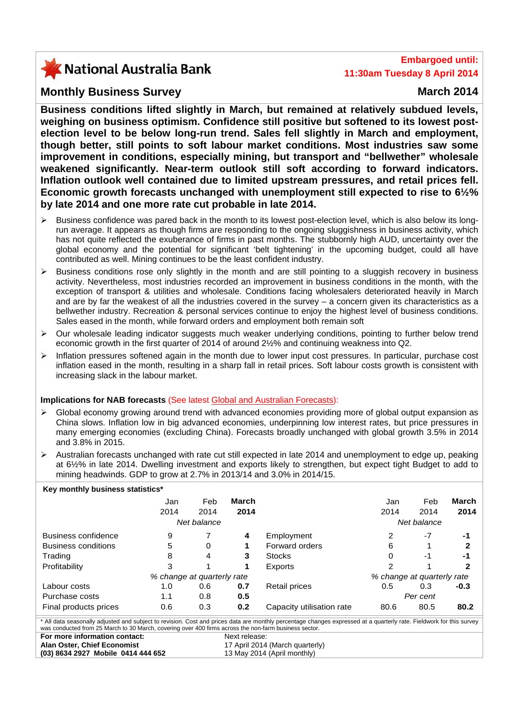# X National Australia Bank

## **Embargoed until: 11:30am Tuesday 8 April 2014**

## **Monthly Business Survey March 2014**

**Business conditions lifted slightly in March, but remained at relatively subdued levels, weighing on business optimism. Confidence still positive but softened to its lowest postelection level to be below long-run trend. Sales fell slightly in March and employment, though better, still points to soft labour market conditions. Most industries saw some improvement in conditions, especially mining, but transport and "bellwether" wholesale weakened significantly. Near-term outlook still soft according to forward indicators. Inflation outlook well contained due to limited upstream pressures, and retail prices fell. Economic growth forecasts unchanged with unemployment still expected to rise to 6½% by late 2014 and one more rate cut probable in late 2014.** 

- Business confidence was pared back in the month to its lowest post-election level, which is also below its longrun average. It appears as though firms are responding to the ongoing sluggishness in business activity, which has not quite reflected the exuberance of firms in past months. The stubbornly high AUD, uncertainty over the global economy and the potential for significant 'belt tightening' in the upcoming budget, could all have contributed as well. Mining continues to be the least confident industry.
- $\triangleright$  Business conditions rose only slightly in the month and are still pointing to a sluggish recovery in business activity. Nevertheless, most industries recorded an improvement in business conditions in the month, with the exception of transport & utilities and wholesale. Conditions facing wholesalers deteriorated heavily in March and are by far the weakest of all the industries covered in the survey – a concern given its characteristics as a bellwether industry. Recreation & personal services continue to enjoy the highest level of business conditions. Sales eased in the month, while forward orders and employment both remain soft
- ¾ Our wholesale leading indicator suggests much weaker underlying conditions, pointing to further below trend economic growth in the first quarter of 2014 of around 2½% and continuing weakness into Q2.
- ¾ Inflation pressures softened again in the month due to lower input cost pressures. In particular, purchase cost inflation eased in the month, resulting in a sharp fall in retail prices. Soft labour costs growth is consistent with increasing slack in the labour market.

#### **Implications for NAB forecasts** (See latest [Global and Australian Forecasts](http://business.nab.com.au/category/economic-commentary/)):

- ¾ Global economy growing around trend with advanced economies providing more of global output expansion as China slows. Inflation low in big advanced economies, underpinning low interest rates, but price pressures in many emerging economies (excluding China). Forecasts broadly unchanged with global growth 3.5% in 2014 and 3.8% in 2015.
- ¾ Australian forecasts unchanged with rate cut still expected in late 2014 and unemployment to edge up, peaking at 6½% in late 2014. Dwelling investment and exports likely to strengthen, but expect tight Budget to add to mining headwinds. GDP to grow at 2.7% in 2013/14 and 3.0% in 2014/15.

| Key monthly business statistics*                                                                                                                                                                                                                                              |             |      |       |                           |                            |      |        |  |
|-------------------------------------------------------------------------------------------------------------------------------------------------------------------------------------------------------------------------------------------------------------------------------|-------------|------|-------|---------------------------|----------------------------|------|--------|--|
|                                                                                                                                                                                                                                                                               | Jan         | Feb  | March |                           | Jan                        | Feb  | March  |  |
|                                                                                                                                                                                                                                                                               | 2014        | 2014 | 2014  |                           | 2014                       | 2014 | 2014   |  |
|                                                                                                                                                                                                                                                                               | Net balance |      |       |                           | Net balance                |      |        |  |
| Business confidence                                                                                                                                                                                                                                                           | 9           |      | 4     | Employment                | 2                          | $-7$ | -1     |  |
| Business conditions                                                                                                                                                                                                                                                           | 5           | 0    |       | Forward orders            | 6                          |      | 2      |  |
| Trading                                                                                                                                                                                                                                                                       | 8           | 4    | 3     | <b>Stocks</b>             | 0                          | -1   | -1     |  |
| Profitability                                                                                                                                                                                                                                                                 | 3           |      |       | Exports                   | 2                          |      | 2      |  |
| % change at quarterly rate                                                                                                                                                                                                                                                    |             |      |       |                           | % change at quarterly rate |      |        |  |
| Labour costs                                                                                                                                                                                                                                                                  | 1.0         | 0.6  | 0.7   | Retail prices             | 0.5                        | 0.3  | $-0.3$ |  |
| Purchase costs                                                                                                                                                                                                                                                                | 1.1         | 0.8  | 0.5   |                           | Per cent                   |      |        |  |
| Final products prices                                                                                                                                                                                                                                                         | 0.6         | 0.3  | 0.2   | Capacity utilisation rate | 80.6                       | 80.5 | 80.2   |  |
| * All data seasonally adjusted and subject to revision. Cost and prices data are monthly percentage changes expressed at a quarterly rate. Fieldwork for this survey<br>was conducted from 25 March to 30 March, covering over 400 firms across the non-farm business sector. |             |      |       |                           |                            |      |        |  |
| For more information contact:<br>Next release:                                                                                                                                                                                                                                |             |      |       |                           |                            |      |        |  |

**Alan Oster, Chief Economist (03) 8634 2927 Mobile 0414 444 652**  17 April 2014 (March quarterly) 13 May 2014 (April monthly)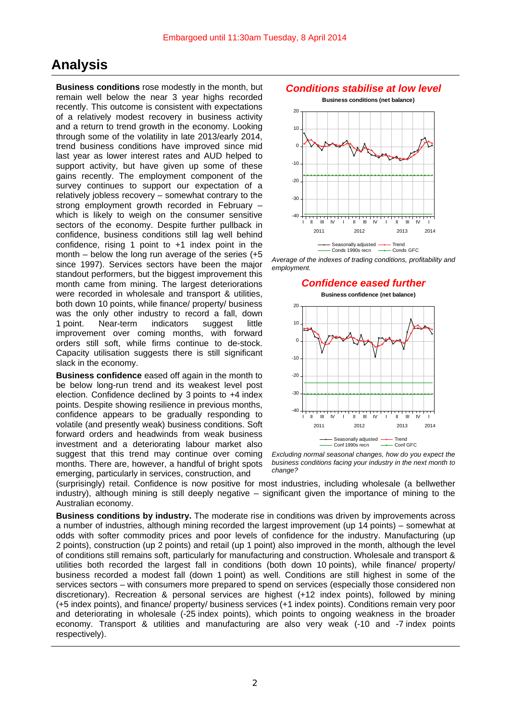# **Analysis**

**Business conditions** rose modestly in the month, but remain well below the near 3 year highs recorded recently. This outcome is consistent with expectations of a relatively modest recovery in business activity and a return to trend growth in the economy. Looking through some of the volatility in late 2013/early 2014, trend business conditions have improved since mid last year as lower interest rates and AUD helped to support activity, but have given up some of these gains recently. The employment component of the survey continues to support our expectation of a relatively jobless recovery – somewhat contrary to the strong employment growth recorded in February – which is likely to weigh on the consumer sensitive sectors of the economy. Despite further pullback in confidence, business conditions still lag well behind confidence, rising 1 point to +1 index point in the month – below the long run average of the series (+5 since 1997). Services sectors have been the major standout performers, but the biggest improvement this month came from mining. The largest deteriorations were recorded in wholesale and transport & utilities, both down 10 points, while finance/ property/ business was the only other industry to record a fall, down 1 point. Near-term indicators suggest little improvement over coming months, with forward orders still soft, while firms continue to de-stock. Capacity utilisation suggests there is still significant slack in the economy.

**Business confidence** eased off again in the month to be below long-run trend and its weakest level post election. Confidence declined by 3 points to +4 index points. Despite showing resilience in previous months, confidence appears to be gradually responding to volatile (and presently weak) business conditions. Soft forward orders and headwinds from weak business investment and a deteriorating labour market also suggest that this trend may continue over coming months. There are, however, a handful of bright spots emerging, particularly in services, construction, and

## *Conditions stabilise at low level*

**Business conditions (net balance)**



*Average of the indexes of trading conditions, profitability and employment.*

#### *Confidence eased further*



*Excluding normal seasonal changes, how do you expect the business conditions facing your industry in the next month to change?*

(surprisingly) retail. Confidence is now positive for most industries, including wholesale (a bellwether industry), although mining is still deeply negative – significant given the importance of mining to the Australian economy.

**Business conditions by industry.** The moderate rise in conditions was driven by improvements across a number of industries, although mining recorded the largest improvement (up 14 points) – somewhat at odds with softer commodity prices and poor levels of confidence for the industry. Manufacturing (up 2 points), construction (up 2 points) and retail (up 1 point) also improved in the month, although the level of conditions still remains soft, particularly for manufacturing and construction. Wholesale and transport & utilities both recorded the largest fall in conditions (both down 10 points), while finance/ property/ business recorded a modest fall (down 1 point) as well. Conditions are still highest in some of the services sectors – with consumers more prepared to spend on services (especially those considered non discretionary). Recreation & personal services are highest (+12 index points), followed by mining (+5 index points), and finance/ property/ business services (+1 index points). Conditions remain very poor and deteriorating in wholesale (-25 index points), which points to ongoing weakness in the broader economy. Transport & utilities and manufacturing are also very weak (-10 and -7 index points respectively).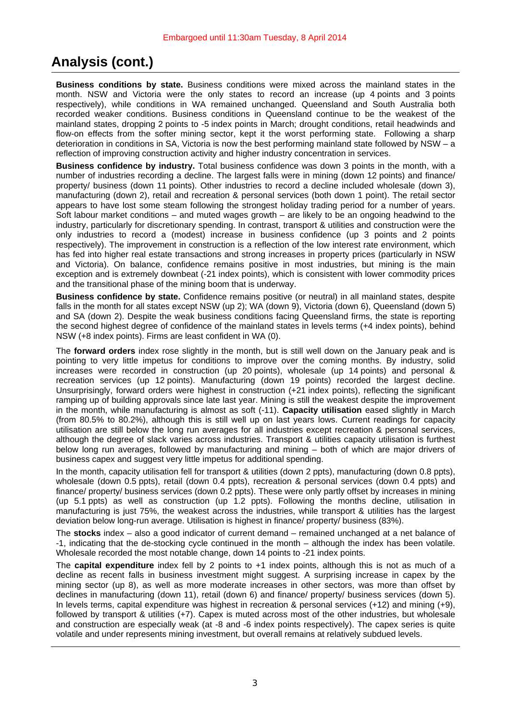# **Analysis (cont.)**

**Business conditions by state.** Business conditions were mixed across the mainland states in the month. NSW and Victoria were the only states to record an increase (up 4 points and 3 points respectively), while conditions in WA remained unchanged. Queensland and South Australia both recorded weaker conditions. Business conditions in Queensland continue to be the weakest of the mainland states, dropping 2 points to -5 index points in March; drought conditions, retail headwinds and flow-on effects from the softer mining sector, kept it the worst performing state. Following a sharp deterioration in conditions in SA, Victoria is now the best performing mainland state followed by NSW – a reflection of improving construction activity and higher industry concentration in services.

**Business confidence by industry.** Total business confidence was down 3 points in the month, with a number of industries recording a decline. The largest falls were in mining (down 12 points) and finance/ property/ business (down 11 points). Other industries to record a decline included wholesale (down 3), manufacturing (down 2), retail and recreation & personal services (both down 1 point). The retail sector appears to have lost some steam following the strongest holiday trading period for a number of years. Soft labour market conditions – and muted wages growth – are likely to be an ongoing headwind to the industry, particularly for discretionary spending. In contrast, transport & utilities and construction were the only industries to record a (modest) increase in business confidence (up 3 points and 2 points respectively). The improvement in construction is a reflection of the low interest rate environment, which has fed into higher real estate transactions and strong increases in property prices (particularly in NSW and Victoria). On balance, confidence remains positive in most industries, but mining is the main exception and is extremely downbeat (-21 index points), which is consistent with lower commodity prices and the transitional phase of the mining boom that is underway.

**Business confidence by state.** Confidence remains positive (or neutral) in all mainland states, despite falls in the month for all states except NSW (up 2); WA (down 9), Victoria (down 6), Queensland (down 5) and SA (down 2). Despite the weak business conditions facing Queensland firms, the state is reporting the second highest degree of confidence of the mainland states in levels terms (+4 index points), behind NSW (+8 index points). Firms are least confident in WA (0).

The **forward orders** index rose slightly in the month, but is still well down on the January peak and is pointing to very little impetus for conditions to improve over the coming months. By industry, solid increases were recorded in construction (up 20 points), wholesale (up 14 points) and personal & recreation services (up 12 points). Manufacturing (down 19 points) recorded the largest decline. Unsurprisingly, forward orders were highest in construction (+21 index points), reflecting the significant ramping up of building approvals since late last year. Mining is still the weakest despite the improvement in the month, while manufacturing is almost as soft (-11). **Capacity utilisation** eased slightly in March (from 80.5% to 80.2%), although this is still well up on last years lows. Current readings for capacity utilisation are still below the long run averages for all industries except recreation & personal services, although the degree of slack varies across industries. Transport & utilities capacity utilisation is furthest below long run averages, followed by manufacturing and mining – both of which are major drivers of business capex and suggest very little impetus for additional spending.

In the month, capacity utilisation fell for transport & utilities (down 2 ppts), manufacturing (down 0.8 ppts), wholesale (down 0.5 ppts), retail (down 0.4 ppts), recreation & personal services (down 0.4 ppts) and finance/ property/ business services (down 0.2 ppts). These were only partly offset by increases in mining (up 5.1 ppts) as well as construction (up 1.2 ppts). Following the months decline, utilisation in manufacturing is just 75%, the weakest across the industries, while transport & utilities has the largest deviation below long-run average. Utilisation is highest in finance/ property/ business (83%).

The **stocks** index – also a good indicator of current demand – remained unchanged at a net balance of -1, indicating that the de-stocking cycle continued in the month – although the index has been volatile. Wholesale recorded the most notable change, down 14 points to -21 index points.

The **capital expenditure** index fell by 2 points to +1 index points, although this is not as much of a decline as recent falls in business investment might suggest. A surprising increase in capex by the mining sector (up 8), as well as more moderate increases in other sectors, was more than offset by declines in manufacturing (down 11), retail (down 6) and finance/ property/ business services (down 5). In levels terms, capital expenditure was highest in recreation & personal services (+12) and mining (+9), followed by transport & utilities (+7). Capex is muted across most of the other industries, but wholesale and construction are especially weak (at -8 and -6 index points respectively). The capex series is quite volatile and under represents mining investment, but overall remains at relatively subdued levels.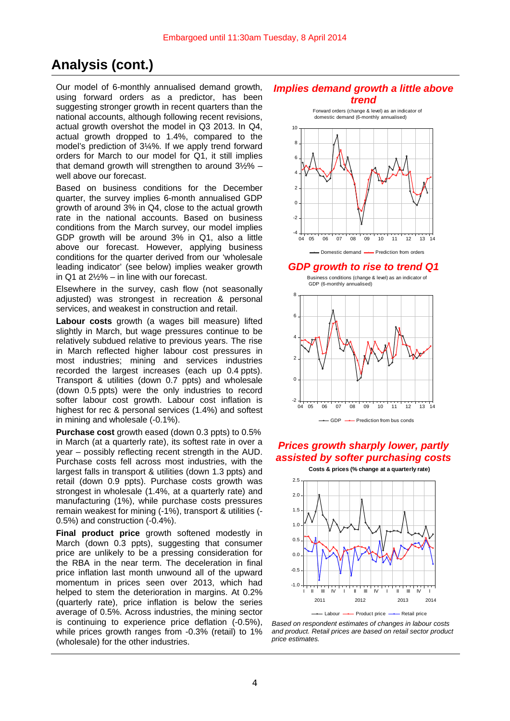# **Analysis (cont.)**

Our model of 6-monthly annualised demand growth, using forward orders as a predictor, has been suggesting stronger growth in recent quarters than the national accounts, although following recent revisions, actual growth overshot the model in Q3 2013. In Q4, actual growth dropped to 1.4%, compared to the model's prediction of 3¼%. If we apply trend forward orders for March to our model for Q1, it still implies that demand growth will strengthen to around  $3\frac{1}{2}\%$  – well above our forecast.

Based on business conditions for the December quarter, the survey implies 6-month annualised GDP growth of around 3% in Q4, close to the actual growth rate in the national accounts. Based on business conditions from the March survey, our model implies GDP growth will be around 3% in Q1, also a little above our forecast. However, applying business conditions for the quarter derived from our 'wholesale leading indicator' (see below) implies weaker growth in Q1 at  $2\frac{1}{2}\%$  – in line with our forecast.

Elsewhere in the survey, cash flow (not seasonally adjusted) was strongest in recreation & personal services, and weakest in construction and retail.

**Labour costs** growth (a wages bill measure) lifted slightly in March, but wage pressures continue to be relatively subdued relative to previous years. The rise in March reflected higher labour cost pressures in most industries; mining and services industries recorded the largest increases (each up 0.4 ppts). Transport & utilities (down 0.7 ppts) and wholesale (down 0.5 ppts) were the only industries to record softer labour cost growth. Labour cost inflation is highest for rec & personal services (1.4%) and softest in mining and wholesale (-0.1%).

**Purchase cost** growth eased (down 0.3 ppts) to 0.5% in March (at a quarterly rate), its softest rate in over a year – possibly reflecting recent strength in the AUD. Purchase costs fell across most industries, with the largest falls in transport & utilities (down 1.3 ppts) and retail (down 0.9 ppts). Purchase costs growth was strongest in wholesale (1.4%, at a quarterly rate) and manufacturing (1%), while purchase costs pressures remain weakest for mining (-1%), transport & utilities (- 0.5%) and construction (-0.4%).

**Final product price** growth softened modestly in March (down 0.3 ppts), suggesting that consumer price are unlikely to be a pressing consideration for the RBA in the near term. The deceleration in final price inflation last month unwound all of the upward momentum in prices seen over 2013, which had helped to stem the deterioration in margins. At 0.2% (quarterly rate), price inflation is below the series average of 0.5%. Across industries, the mining sector is continuing to experience price deflation (-0.5%), while prices growth ranges from -0.3% (retail) to 1% (wholesale) for the other industries.

#### *Implies demand growth a little above trend*



## *GDP growth to rise to trend Q1*

Business conditions (change & level) as an indicator of GDP (6-monthly annualised)



## *Prices growth sharply lower, partly assisted by softer purchasing costs*



*Based on respondent estimates of changes in labour costs and product. Retail prices are based on retail sector product price estimates.*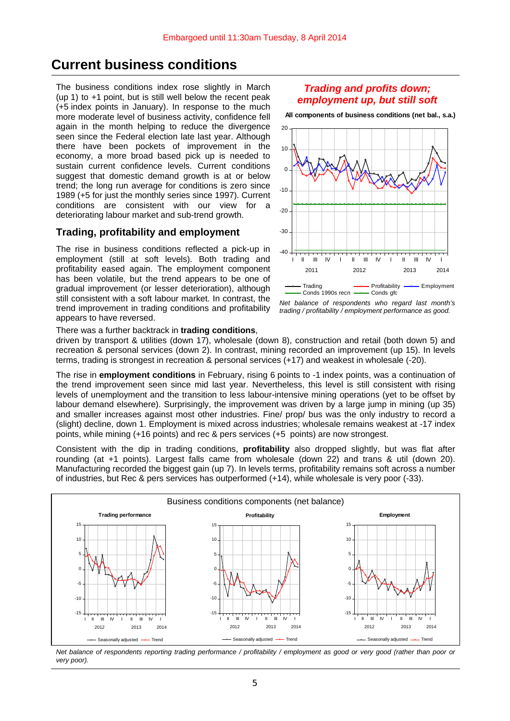## **Current business conditions**

The business conditions index rose slightly in March (up 1) to +1 point, but is still well below the recent peak (+5 index points in January). In response to the much more moderate level of business activity, confidence fell again in the month helping to reduce the divergence seen since the Federal election late last year. Although there have been pockets of improvement in the economy, a more broad based pick up is needed to sustain current confidence levels. Current conditions suggest that domestic demand growth is at or below trend; the long run average for conditions is zero since 1989 (+5 for just the monthly series since 1997). Current conditions are consistent with our view for a deteriorating labour market and sub-trend growth.

### **Trading, profitability and employment**

The rise in business conditions reflected a pick-up in employment (still at soft levels). Both trading and profitability eased again. The employment component has been volatile, but the trend appears to be one of gradual improvement (or lesser deterioration), although still consistent with a soft labour market. In contrast, the trend improvement in trading conditions and profitability appears to have reversed.

### *Trading and profits down; employment up, but still soft*

**All components of business conditions (net bal., s.a.)**



*Net balance of respondents who regard last month's trading / profitability / employment performance as good.* 

There was a further backtrack in **trading conditions**,

driven by transport & utilities (down 17), wholesale (down 8), construction and retail (both down 5) and recreation & personal services (down 2). In contrast, mining recorded an improvement (up 15). In levels terms, trading is strongest in recreation & personal services (+17) and weakest in wholesale (-20).

The rise in **employment conditions** in February, rising 6 points to -1 index points, was a continuation of the trend improvement seen since mid last year. Nevertheless, this level is still consistent with rising levels of unemployment and the transition to less labour-intensive mining operations (yet to be offset by labour demand elsewhere). Surprisingly, the improvement was driven by a large jump in mining (up 35) and smaller increases against most other industries. Fine/ prop/ bus was the only industry to record a (slight) decline, down 1. Employment is mixed across industries; wholesale remains weakest at -17 index points, while mining (+16 points) and rec & pers services (+5 points) are now strongest.

Consistent with the dip in trading conditions, **profitability** also dropped slightly, but was flat after rounding (at +1 points). Largest falls came from wholesale (down 22) and trans & util (down 20). Manufacturing recorded the biggest gain (up 7). In levels terms, profitability remains soft across a number of industries, but Rec & pers services has outperformed (+14), while wholesale is very poor (-33).



*Net balance of respondents reporting trading performance / profitability / employment as good or very good (rather than poor or very poor).*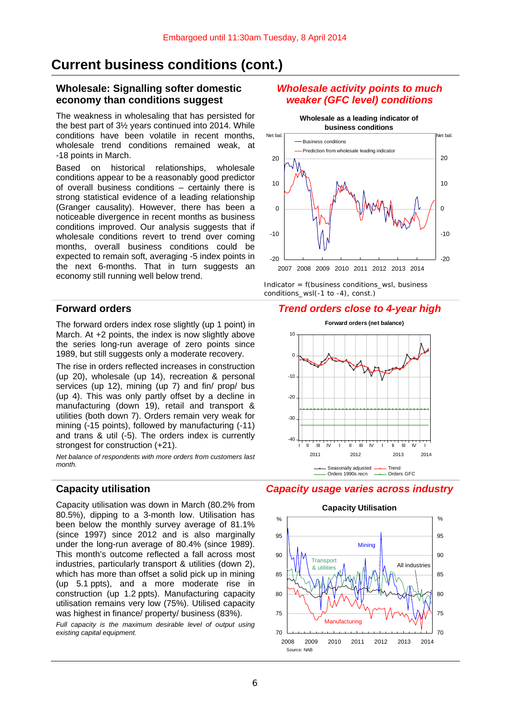# **Current business conditions (cont.)**

## **Wholesale: Signalling softer domestic economy than conditions suggest**

The weakness in wholesaling that has persisted for the best part of 3½ years continued into 2014. While conditions have been volatile in recent months, wholesale trend conditions remained weak, at -18 points in March.

Based on historical relationships, wholesale conditions appear to be a reasonably good predictor of overall business conditions – certainly there is strong statistical evidence of a leading relationship (Granger causality). However, there has been a noticeable divergence in recent months as business conditions improved. Our analysis suggests that if wholesale conditions revert to trend over coming months, overall business conditions could be expected to remain soft, averaging -5 index points in the next 6-months. That in turn suggests an economy still running well below trend.

The forward orders index rose slightly (up 1 point) in March. At +2 points, the index is now slightly above the series long-run average of zero points since 1989, but still suggests only a moderate recovery.

The rise in orders reflected increases in construction (up 20), wholesale (up 14), recreation & personal services (up 12), mining (up 7) and fin/ prop/ bus (up 4). This was only partly offset by a decline in manufacturing (down 19), retail and transport & utilities (both down 7). Orders remain very weak for mining (-15 points), followed by manufacturing (-11) and trans & util (-5). The orders index is currently strongest for construction (+21).

*Net balance of respondents with more orders from customers last month.*

Capacity utilisation was down in March (80.2% from 80.5%), dipping to a 3-month low. Utilisation has been below the monthly survey average of 81.1% (since 1997) since 2012 and is also marginally under the long-run average of 80.4% (since 1989). This month's outcome reflected a fall across most industries, particularly transport & utilities (down 2), which has more than offset a solid pick up in mining (up 5.1 ppts), and a more moderate rise in construction (up 1.2 ppts). Manufacturing capacity utilisation remains very low (75%). Utilised capacity was highest in finance/ property/ business (83%).

*Full capacity is the maximum desirable level of output using existing capital equipment.* 

## *Wholesale activity points to much weaker (GFC level) conditions*



*Indicator = f(business conditions\_wsl, business conditions\_wsl(-1 to -4), const.)* 

## **Forward orders** *Trend orders close to 4-year high*



## **Capacity utilisation** *Capacity usage varies across industry*

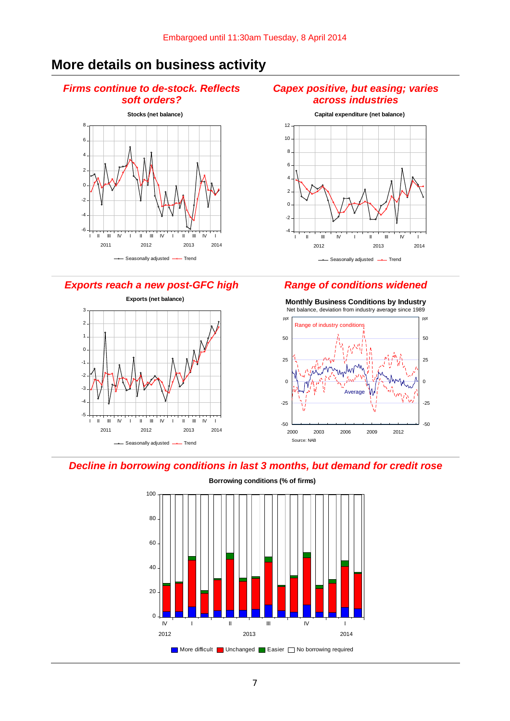# **More details on business activity**

## *Firms continue to de-stock. Reflects soft orders?*



*Exports reach a new post-GFC high Range of conditions widened* 



## *Capex positive, but easing; varies across industries*





**Monthly Business Conditions by Industry** Net balance, deviation from industry average since 1989

#### *Decline in borrowing conditions in last 3 months, but demand for credit rose*



**Borrowing conditions (% of firms)**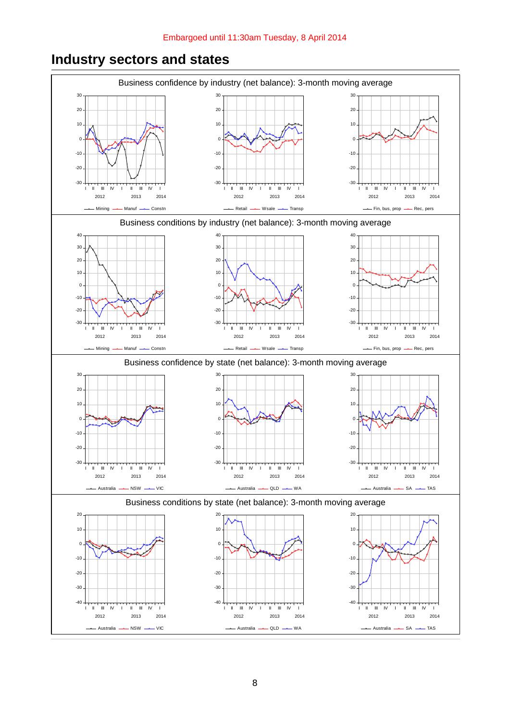

# **Industry sectors and states**